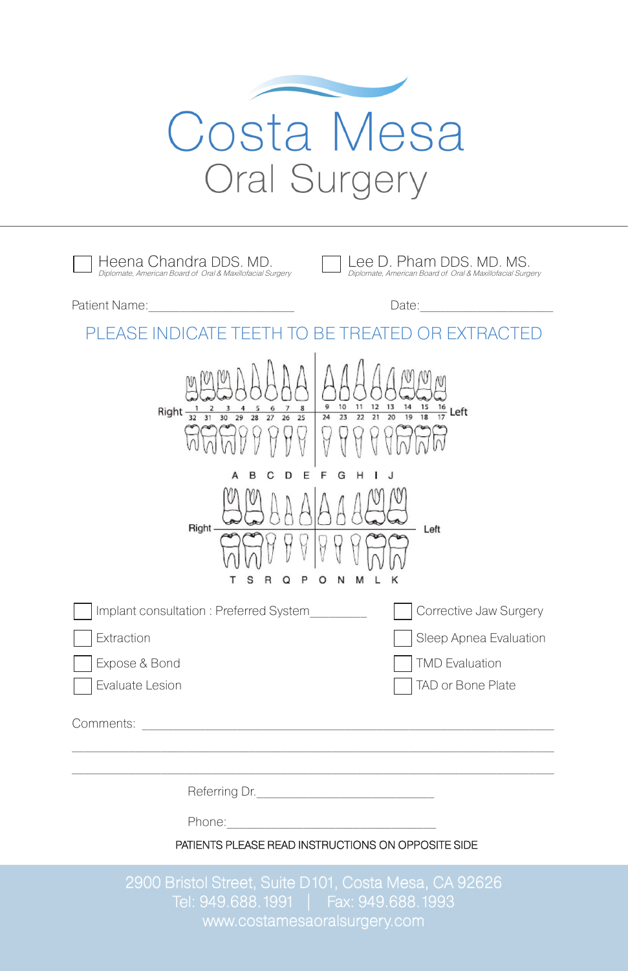

| Heena Chandra DDS. MD.<br>Diplomate, American Board of Oral & Maxillofacial Surgery                                                                                                                                                                                                                                                                                                                                 | Lee D. Pham DDS. MD. MS.<br>Diplomate, American Board of Oral & Maxillofacial Surgery |
|---------------------------------------------------------------------------------------------------------------------------------------------------------------------------------------------------------------------------------------------------------------------------------------------------------------------------------------------------------------------------------------------------------------------|---------------------------------------------------------------------------------------|
| Patient Name: The Contract of the Contract of the Contract of the Contract of the Contract of the Contract of the Contract of the Contract of the Contract of the Contract of the Contract of the Contract of the Contract of                                                                                                                                                                                       | Date:                                                                                 |
| PI FASE INDICAT<br>REATE<br>R                                                                                                                                                                                                                                                                                                                                                                                       |                                                                                       |
| $\frac{13}{20}$<br>9<br>$rac{10}{23}$<br>$\frac{11}{22}$<br>$\frac{12}{21}$<br>$\frac{14}{19}$<br>$\frac{15}{18}$<br>$\begin{array}{cc} 7 & 8 \\ 26 & 25 \end{array}$<br>$\begin{array}{cc} & 5 & 6 \\ \hline 28 & 27 \end{array}$<br>$\frac{16}{17}$ Left<br>Right $\frac{1}{32}$ $\frac{2}{31}$<br>$\frac{4}{29}$<br>$\overline{24}$<br>$30^{-1}$<br>Н<br>F<br>G<br>Right -<br>Left<br>M<br>N<br>κ<br>s<br>O<br>O |                                                                                       |
| Implant consultation: Preferred System                                                                                                                                                                                                                                                                                                                                                                              | Corrective Jaw Surgery                                                                |
| Extraction                                                                                                                                                                                                                                                                                                                                                                                                          | Sleep Apnea Evaluation                                                                |
| Expose & Bond                                                                                                                                                                                                                                                                                                                                                                                                       | <b>TMD Evaluation</b>                                                                 |
| Evaluate Lesion                                                                                                                                                                                                                                                                                                                                                                                                     | TAD or Bone Plate                                                                     |
| Comments:<br>the contract of the contract of the contract of                                                                                                                                                                                                                                                                                                                                                        |                                                                                       |
|                                                                                                                                                                                                                                                                                                                                                                                                                     |                                                                                       |

Referring Dr.

Phone:

PATIENTS PLEASE READ INSTRUCTIONS ON OPPOSITE SIDE

2900 Bristol Street, Suite D101, Costa Mesa, CA 92626 Tel: 949.688.1991 | Fax: 949.688.1993 www.costamesaoralsurgery.com